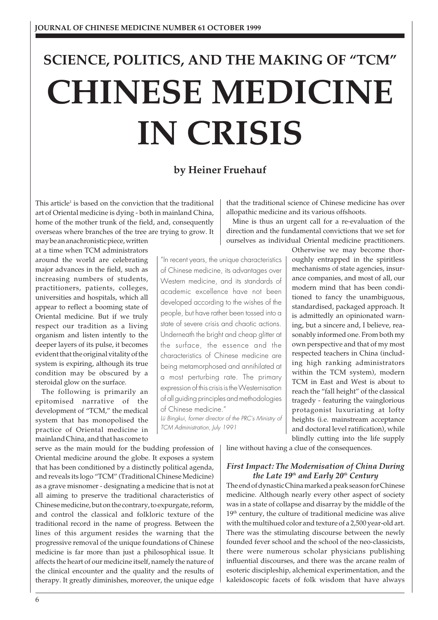# **SCIENCE, POLITICS, AND THE MAKING OF "TCM" CHINESE MEDICINE IN CRISIS**

## **by Heiner Fruehauf**

This article $^1$  is based on the conviction that the traditional art of Oriental medicine is dying - both in mainland China, home of the mother trunk of the field, and, consequently overseas where branches of the tree are trying to grow. It may be an anachronistic piece, written

at a time when TCM administrators around the world are celebrating major advances in the field, such as increasing numbers of students, practitioners, patients, colleges, universities and hospitals, which all appear to reflect a booming state of Oriental medicine. But if we truly respect our tradition as a living organism and listen intently to the deeper layers of its pulse, it becomes evident that the original vitality of the system is expiring, although its true condition may be obscured by a steroidal glow on the surface.

The following is primarily an epitomised narrative of the development of "TCM," the medical system that has monopolised the practice of Oriental medicine in mainland China, and that has come to

serve as the main mould for the budding profession of Oriental medicine around the globe. It exposes a system that has been conditioned by a distinctly political agenda, and reveals its logo "TCM" (Traditional Chinese Medicine) as a grave misnomer - designating a medicine that is not at all aiming to preserve the traditional characteristics of Chinese medicine, but on the contrary, to expurgate, reform, and control the classical and folkloric texture of the traditional record in the name of progress. Between the lines of this argument resides the warning that the progressive removal of the unique foundations of Chinese medicine is far more than just a philosophical issue. It affects the heart of our medicine itself, namely the nature of the clinical encounter and the quality and the results of therapy. It greatly diminishes, moreover, the unique edge

that the traditional science of Chinese medicine has over allopathic medicine and its various offshoots.

Mine is thus an urgent call for a re-evaluation of the direction and the fundamental convictions that we set for ourselves as individual Oriental medicine practitioners.

"In recent years, the unique characteristics of Chinese medicine, its advantages over Western medicine, and its standards of academic excellence have not been developed according to the wishes of the people, but have rather been tossed into a state of severe crisis and chaotic actions. Underneath the bright and cheap glitter at the surface, the essence and the characteristics of Chinese medicine are being metamorphosed and annihilated at a most perturbing rate. The primary expression of this crisis is the Westernisation of all guiding principles and methodologies of Chinese medicine."

Lü Bingkui, former director of the PRC's Ministry of TCM Administration, July 1991

Otherwise we may become thoroughly entrapped in the spiritless mechanisms of state agencies, insurance companies, and most of all, our modern mind that has been conditioned to fancy the unambiguous, standardised, packaged approach. It is admittedly an opinionated warning, but a sincere and, I believe, reasonably informed one. From both my own perspective and that of my most respected teachers in China (including high ranking administrators within the TCM system), modern TCM in East and West is about to reach the "fall height" of the classical tragedy - featuring the vainglorious protagonist luxuriating at lofty heights (i.e. mainstream acceptance and doctoral level ratification), while blindly cutting into the life supply

line without having a clue of the consequences.

## *First Impact: The Modernisation of China During the Late 19th and Early 20th Century*

The end of dynastic China marked a peak season for Chinese medicine. Although nearly every other aspect of society was in a state of collapse and disarray by the middle of the 19<sup>th</sup> century, the culture of traditional medicine was alive with the multihued color and texture of a 2,500 year-old art. There was the stimulating discourse between the newly founded fever school and the school of the neo-classicists, there were numerous scholar physicians publishing influential discourses, and there was the arcane realm of esoteric discipleship, alchemical experimentation, and the kaleidoscopic facets of folk wisdom that have always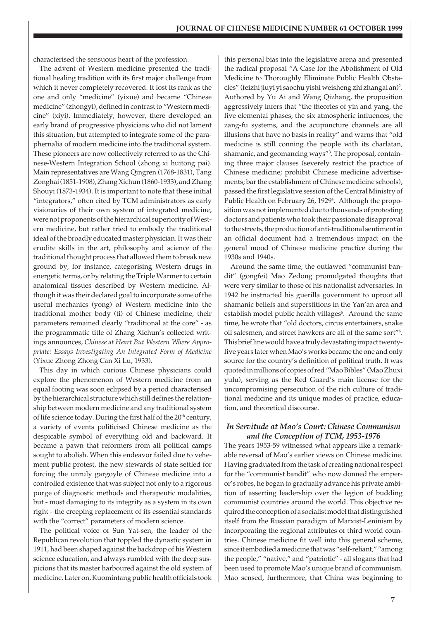characterised the sensuous heart of the profession.

The advent of Western medicine presented the traditional healing tradition with its first major challenge from which it never completely recovered. It lost its rank as the one and only "medicine" (yixue) and became "Chinese medicine" (zhongyi), defined in contrast to "Western medicine" (xiyi). Immediately, however, there developed an early brand of progressive physicians who did not lament this situation, but attempted to integrate some of the paraphernalia of modern medicine into the traditional system. These pioneers are now collectively referred to as the Chinese-Western Integration School (zhong xi huitong pai). Main representatives are Wang Qingren (1768-1831), Tang Zonghai (1851-1908), Zhang Xichun (1860-1933), and Zhang Shouyi (1873-1934). It is important to note that these initial "integrators," often cited by TCM administrators as early visionaries of their own system of integrated medicine, were not proponents of the hierarchical superiority of Western medicine, but rather tried to embody the traditional ideal of the broadly educated master physician. It was their erudite skills in the art, philosophy and science of the traditional thought process that allowed them to break new ground by, for instance, categorising Western drugs in energetic terms, or by relating the Triple Warmer to certain anatomical tissues described by Western medicine. Although it was their declared goal to incorporate some of the useful mechanics (yong) of Western medicine into the traditional mother body (ti) of Chinese medicine, their parameters remained clearly "traditional at the core" - as the programmatic title of Zhang Xichun's collected writings announces, *Chinese at Heart But Western Where Appropriate: Essays Investigating An Integrated Form of Medicine* (Yixue Zhong Zhong Can Xi Lu, 1933).

This day in which curious Chinese physicians could explore the phenomenon of Western medicine from an equal footing was soon eclipsed by a period characterised by the hierarchical structure which still defines the relationship between modern medicine and any traditional system of life science today. During the first half of the  $20<sup>th</sup>$  century, a variety of events politicised Chinese medicine as the despicable symbol of everything old and backward. It became a pawn that reformers from all political camps sought to abolish. When this endeavor failed due to vehement public protest, the new stewards of state settled for forcing the unruly gargoyle of Chinese medicine into a controlled existence that was subject not only to a rigorous purge of diagnostic methods and therapeutic modalities, but - most damaging to its integrity as a system in its own right - the creeping replacement of its essential standards with the "correct" parameters of modern science.

The political voice of Sun Yat-sen, the leader of the Republican revolution that toppled the dynastic system in 1911, had been shaped against the backdrop of his Western science education, and always rumbled with the deep suspicions that its master harboured against the old system of medicine. Later on, Kuomintang public health officials took

this personal bias into the legislative arena and presented the radical proposal "A Case for the Abolishment of Old Medicine to Thoroughly Eliminate Public Health Obstacles" (feizhi jiuyi yi saochu yishi weisheng zhi zhangai an)2 . Authored by Yu Ai and Wang Qizhang, the proposition aggressively infers that "the theories of yin and yang, the five elemental phases, the six atmospheric influences, the zang-fu systems, and the acupuncture channels are all illusions that have no basis in reality" and warns that "old medicine is still conning the people with its charlatan, shamanic, and geomancing ways"3 . The proposal, containing three major clauses (severely restrict the practice of Chinese medicine; prohibit Chinese medicine advertisements; bar the establishment of Chinese medicine schools), passed the first legislative session of the Central Ministry of Public Health on February 26, 19294 . Although the proposition was not implemented due to thousands of protesting doctors and patients who took their passionate disapproval to the streets, the production of anti-traditional sentiment in an official document had a tremendous impact on the general mood of Chinese medicine practice during the 1930s and 1940s.

Around the same time, the outlawed "communist bandit" (gongfei) Mao Zedong promulgated thoughts that were very similar to those of his nationalist adversaries. In 1942 he instructed his guerilla government to uproot all shamanic beliefs and superstitions in the Yan'an area and establish model public health villages<sup>5</sup>. Around the same time, he wrote that "old doctors, circus entertainers, snake oil salesmen, and street hawkers are all of the same sort"6 . This brief line would have a truly devastating impact twentyfive years later when Mao's works became the one and only source for the country's definition of political truth. It was quoted in millions of copies of red "Mao Bibles" (Mao Zhuxi yulu), serving as the Red Guard's main license for the uncompromising persecution of the rich culture of traditional medicine and its unique modes of practice, education, and theoretical discourse.

#### *In Servitude at Mao's Court: Chinese Communism and the Conception of TCM, 1953-1976*

The years 1953-59 witnessed what appears like a remarkable reversal of Mao's earlier views on Chinese medicine. Having graduated from the task of creating national respect for the "communist bandit" who now donned the emperor's robes, he began to gradually advance his private ambition of asserting leadership over the legion of budding communist countries around the world. This objective required the conception of a socialist model that distinguished itself from the Russian paradigm of Marxist-Leninism by incorporating the regional attributes of third world countries. Chinese medicine fit well into this general scheme, since it embodied a medicine that was "self-reliant," "among the people," "native," and "patriotic" - all slogans that had been used to promote Mao's unique brand of communism. Mao sensed, furthermore, that China was beginning to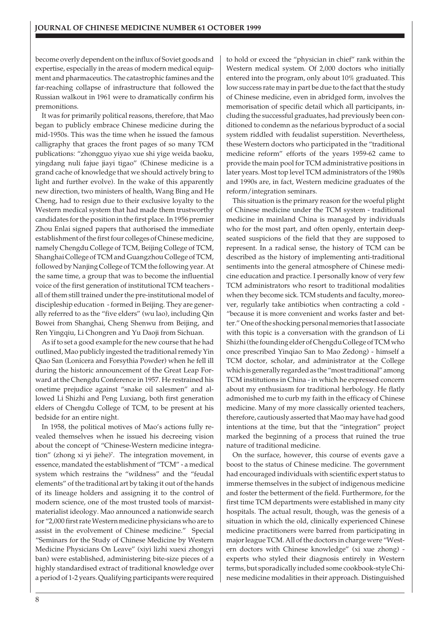become overly dependent on the influx of Soviet goods and expertise, especially in the areas of modern medical equipment and pharmaceutics. The catastrophic famines and the far-reaching collapse of infrastructure that followed the Russian walkout in 1961 were to dramatically confirm his premonitions.

It was for primarily political reasons, therefore, that Mao began to publicly embrace Chinese medicine during the mid-1950s. This was the time when he issued the famous calligraphy that graces the front pages of so many TCM publications: "zhongguo yiyao xue shi yige weida baoku, yingdang nuli fajue jiayi tigao" (Chinese medicine is a grand cache of knowledge that we should actively bring to light and further evolve). In the wake of this apparently new direction, two ministers of health, Wang Bing and He Cheng, had to resign due to their exclusive loyalty to the Western medical system that had made them trustworthy candidates for the position in the first place. In 1956 premier Zhou Enlai signed papers that authorised the immediate establishment of the first four colleges of Chinese medicine, namely Chengdu College of TCM, Beijing College of TCM, Shanghai College of TCM and Guangzhou College of TCM, followed by Nanjing College of TCM the following year. At the same time, a group that was to become the influential voice of the first generation of institutional TCM teachers all of them still trained under the pre-institutional model of discipleship education - formed in Beijing. They are generally referred to as the "five elders" (wu lao), including Qin Bowei from Shanghai, Cheng Shenwu from Beijing, and Ren Yingqiu, Li Chongren and Yu Daoji from Sichuan.

As if to set a good example for the new course that he had outlined, Mao publicly ingested the traditional remedy Yin Qiao San (Lonicera and Forsythia Powder) when he fell ill during the historic announcement of the Great Leap Forward at the Chengdu Conference in 1957. He restrained his onetime prejudice against "snake oil salesmen" and allowed Li Shizhi and Peng Luxiang, both first generation elders of Chengdu College of TCM, to be present at his bedside for an entire night.

In 1958, the political motives of Mao's actions fully revealed themselves when he issued his decreeing vision about the concept of "Chinese-Western medicine integration" (zhong xi yi jiehe)<sup>7</sup>. The integration movement, in essence, mandated the establishment of "TCM" - a medical system which restrains the "wildness" and the "feudal elements" of the traditional art by taking it out of the hands of its lineage holders and assigning it to the control of modern science, one of the most trusted tools of marxistmaterialist ideology. Mao announced a nationwide search for "2,000 first rate Western medicine physicians who are to assist in the evolvement of Chinese medicine." Special "Seminars for the Study of Chinese Medicine by Western Medicine Physicians On Leave" (xiyi lizhi xuexi zhongyi ban) were established, administering bite-size pieces of a highly standardised extract of traditional knowledge over a period of 1-2 years. Qualifying participants were required to hold or exceed the "physician in chief" rank within the Western medical system. Of 2,000 doctors who initially entered into the program, only about 10% graduated. This low success rate may in part be due to the fact that the study of Chinese medicine, even in abridged form, involves the memorisation of specific detail which all participants, including the successful graduates, had previously been conditioned to condemn as the nefarious byproduct of a social system riddled with feudalist superstition. Nevertheless, these Western doctors who participated in the "traditional medicine reform" efforts of the years 1959-62 came to provide the main pool for TCM administrative positions in later years. Most top level TCM administrators of the 1980s and 1990s are, in fact, Western medicine graduates of the reform/integration seminars.

This situation is the primary reason for the woeful plight of Chinese medicine under the TCM system - traditional medicine in mainland China is managed by individuals who for the most part, and often openly, entertain deepseated suspicions of the field that they are supposed to represent. In a radical sense, the history of TCM can be described as the history of implementing anti-traditional sentiments into the general atmosphere of Chinese medicine education and practice. I personally know of very few TCM administrators who resort to traditional modalities when they become sick. TCM students and faculty, moreover, regularly take antibiotics when contracting a cold - "because it is more convenient and works faster and better." One of the shocking personal memories that I associate with this topic is a conversation with the grandson of Li Shizhi (the founding elder of Chengdu College of TCM who once prescribed Yinqiao San to Mao Zedong) - himself a TCM doctor, scholar, and administrator at the College which is generally regarded as the "most traditional" among TCM institutions in China - in which he expressed concern about my enthusiasm for traditional herbology. He flatly admonished me to curb my faith in the efficacy of Chinese medicine. Many of my more classically oriented teachers, therefore, cautiously asserted that Mao may have had good intentions at the time, but that the "integration" project marked the beginning of a process that ruined the true nature of traditional medicine.

On the surface, however, this course of events gave a boost to the status of Chinese medicine. The government had encouraged individuals with scientific expert status to immerse themselves in the subject of indigenous medicine and foster the betterment of the field. Furthermore, for the first time TCM departments were established in many city hospitals. The actual result, though, was the genesis of a situation in which the old, clinically experienced Chinese medicine practitioners were barred from participating in major league TCM. All of the doctors in charge were "Western doctors with Chinese knowledge" (xi xue zhong) experts who styled their diagnosis entirely in Western terms, but sporadically included some cookbook-style Chinese medicine modalities in their approach. Distinguished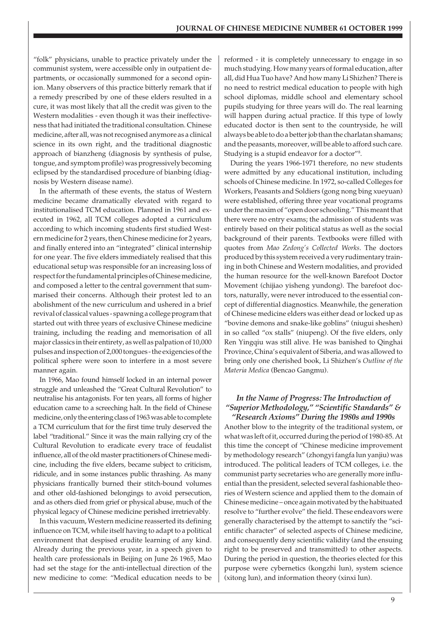"folk" physicians, unable to practice privately under the communist system, were accessible only in outpatient departments, or occasionally summoned for a second opinion. Many observers of this practice bitterly remark that if a remedy prescribed by one of these elders resulted in a cure, it was most likely that all the credit was given to the Western modalities - even though it was their ineffectiveness that had initiated the traditional consultation. Chinese medicine, after all, was not recognised anymore as a clinical science in its own right, and the traditional diagnostic approach of bianzheng (diagnosis by synthesis of pulse, tongue, and symptom profile) was progressively becoming eclipsed by the standardised procedure of bianbing (diagnosis by Western disease name).

In the aftermath of these events, the status of Western medicine became dramatically elevated with regard to institutionalised TCM education. Planned in 1961 and executed in 1962, all TCM colleges adopted a curriculum according to which incoming students first studied Western medicine for 2 years, then Chinese medicine for 2 years, and finally entered into an "integrated" clinical internship for one year. The five elders immediately realised that this educational setup was responsible for an increasing loss of respect for the fundamental principles of Chinese medicine, and composed a letter to the central government that summarised their concerns. Although their protest led to an abolishment of the new curriculum and ushered in a brief revival of classical values - spawning a college program that started out with three years of exclusive Chinese medicine training, including the reading and memorisation of all major classics in their entirety, as well as palpation of 10,000 pulses and inspection of 2,000 tongues - the exigencies of the political sphere were soon to interfere in a most severe manner again.

In 1966, Mao found himself locked in an internal power struggle and unleashed the "Great Cultural Revolution" to neutralise his antagonists. For ten years, all forms of higher education came to a screeching halt. In the field of Chinese medicine, only the entering class of 1963 was able to complete a TCM curriculum that for the first time truly deserved the label "traditional." Since it was the main rallying cry of the Cultural Revolution to eradicate every trace of feudalist influence, all of the old master practitioners of Chinese medicine, including the five elders, became subject to criticism, ridicule, and in some instances public thrashing. As many physicians frantically burned their stitch-bound volumes and other old-fashioned belongings to avoid persecution, and as others died from grief or physical abuse, much of the physical legacy of Chinese medicine perished irretrievably.

In this vacuum, Western medicine reasserted its defining influence on TCM, while itself having to adapt to a political environment that despised erudite learning of any kind. Already during the previous year, in a speech given to health care professionals in Beijing on June 26 1965, Mao had set the stage for the anti-intellectual direction of the new medicine to come: "Medical education needs to be

reformed - it is completely unnecessary to engage in so much studying. How many years of formal education, after all, did Hua Tuo have? And how many Li Shizhen? There is no need to restrict medical education to people with high school diplomas, middle school and elementary school pupils studying for three years will do. The real learning will happen during actual practice. If this type of lowly educated doctor is then sent to the countryside, he will always be able to do a better job than the charlatan shamans; and the peasants, moreover, will be able to afford such care. Studying is a stupid endeavor for a doctor"8 .

During the years 1966-1971 therefore, no new students were admitted by any educational institution, including schools of Chinese medicine. In 1972, so-called Colleges for Workers, Peasants and Soldiers (gong nong bing xueyuan) were established, offering three year vocational programs under the maxim of "open door schooling." This meant that there were no entry exams; the admission of students was entirely based on their political status as well as the social background of their parents. Textbooks were filled with quotes from *Mao Zedong's Collected Works*. The doctors produced by this system received a very rudimentary training in both Chinese and Western modalities, and provided the human resource for the well-known Barefoot Doctor Movement (chijiao yisheng yundong). The barefoot doctors, naturally, were never introduced to the essential concept of differential diagnostics. Meanwhile, the generation of Chinese medicine elders was either dead or locked up as "bovine demons and snake-like goblins" (niugui sheshen) in so called "ox stalls" (niupeng). Of the five elders, only Ren Yingqiu was still alive. He was banished to Qinghai Province, China's equivalent of Siberia, and was allowed to bring only one cherished book, Li Shizhen's *Outline of the Materia Medica* (Bencao Gangmu).

## *In the Name of Progress: The Introduction of "Superior Methodology," "Scientific Standards" &*

*"Research Axioms" During the 1980s and 1990s* Another blow to the integrity of the traditional system, or what was left of it, occurred during the period of 1980-85. At this time the concept of "Chinese medicine improvement by methodology research" (zhongyi fangfa lun yanjiu) was introduced. The political leaders of TCM colleges, i.e. the communist party secretaries who are generally more influential than the president, selected several fashionable theories of Western science and applied them to the domain of Chinese medicine – once again motivated by the habituated resolve to "further evolve" the field. These endeavors were generally characterised by the attempt to sanctify the "scientific character" of selected aspects of Chinese medicine, and consequently deny scientific validity (and the ensuing right to be preserved and transmitted) to other aspects. During the period in question, the theories elected for this purpose were cybernetics (kongzhi lun), system science (xitong lun), and information theory (xinxi lun).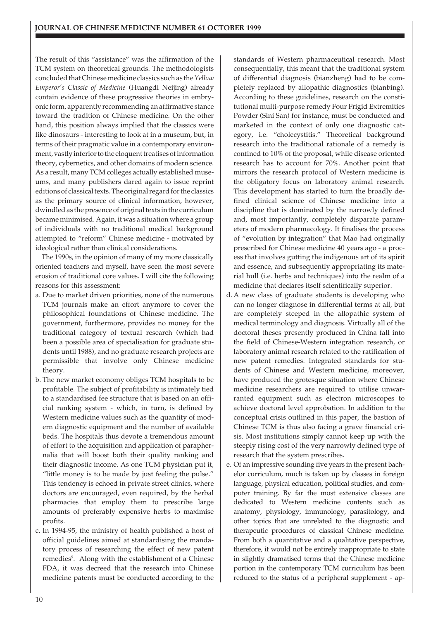The result of this "assistance" was the affirmation of the TCM system on theoretical grounds. The methodologists concluded that Chinese medicine classics such as the *Yellow Emperor's Classic of Medicine* (Huangdi Neijing) already contain evidence of these progressive theories in embryonic form, apparently recommending an affirmative stance toward the tradition of Chinese medicine. On the other hand, this position always implied that the classics were like dinosaurs - interesting to look at in a museum, but, in terms of their pragmatic value in a contemporary environment, vastly inferior to the eloquent treatises of information theory, cybernetics, and other domains of modern science. As a result, many TCM colleges actually established museums, and many publishers dared again to issue reprint editions of classical texts. The original regard for the classics as the primary source of clinical information, however, dwindled as the presence of original texts in the curriculum became minimised. Again, it was a situation where a group of individuals with no traditional medical background attempted to "reform" Chinese medicine - motivated by ideological rather than clinical considerations.

The 1990s, in the opinion of many of my more classically oriented teachers and myself, have seen the most severe erosion of traditional core values. I will cite the following reasons for this assessment:

- a. Due to market driven priorities, none of the numerous TCM journals make an effort anymore to cover the philosophical foundations of Chinese medicine. The government, furthermore, provides no money for the traditional category of textual research (which had been a possible area of specialisation for graduate students until 1988), and no graduate research projects are permissible that involve only Chinese medicine theory.
- b. The new market economy obliges TCM hospitals to be profitable. The subject of profitability is intimately tied to a standardised fee structure that is based on an official ranking system - which, in turn, is defined by Western medicine values such as the quantity of modern diagnostic equipment and the number of available beds. The hospitals thus devote a tremendous amount of effort to the acquisition and application of paraphernalia that will boost both their quality ranking and their diagnostic income. As one TCM physician put it, "little money is to be made by just feeling the pulse." This tendency is echoed in private street clinics, where doctors are encouraged, even required, by the herbal pharmacies that employ them to prescribe large amounts of preferably expensive herbs to maximise profits.
- c. In 1994-95, the ministry of health published a host of official guidelines aimed at standardising the mandatory process of researching the effect of new patent remedies<sup>9</sup>. Along with the establishment of a Chinese FDA, it was decreed that the research into Chinese medicine patents must be conducted according to the

standards of Western pharmaceutical research. Most consequentially, this meant that the traditional system of differential diagnosis (bianzheng) had to be completely replaced by allopathic diagnostics (bianbing). According to these guidelines, research on the constitutional multi-purpose remedy Four Frigid Extremities Powder (Sini San) for instance, must be conducted and marketed in the context of only one diagnostic category, i.e. "cholecystitis." Theoretical background research into the traditional rationale of a remedy is confined to 10% of the proposal, while disease oriented research has to account for 70%. Another point that mirrors the research protocol of Western medicine is the obligatory focus on laboratory animal research. This development has started to turn the broadly defined clinical science of Chinese medicine into a discipline that is dominated by the narrowly defined and, most importantly, completely disparate parameters of modern pharmacology. It finalises the process of "evolution by integration" that Mao had originally prescribed for Chinese medicine 40 years ago - a process that involves gutting the indigenous art of its spirit and essence, and subsequently appropriating its material hull (i.e. herbs and techniques) into the realm of a medicine that declares itself scientifically superior.

- d. A new class of graduate students is developing who can no longer diagnose in differential terms at all, but are completely steeped in the allopathic system of medical terminology and diagnosis. Virtually all of the doctoral theses presently produced in China fall into the field of Chinese-Western integration research, or laboratory animal research related to the ratification of new patent remedies. Integrated standards for students of Chinese and Western medicine, moreover, have produced the grotesque situation where Chinese medicine researchers are required to utilise unwarranted equipment such as electron microscopes to achieve doctoral level approbation. In addition to the conceptual crisis outlined in this paper, the bastion of Chinese TCM is thus also facing a grave financial crisis. Most institutions simply cannot keep up with the steeply rising cost of the very narrowly defined type of research that the system prescribes.
- e. Of an impressive sounding five years in the present bachelor curriculum, much is taken up by classes in foreign language, physical education, political studies, and computer training. By far the most extensive classes are dedicated to Western medicine contents such as anatomy, physiology, immunology, parasitology, and other topics that are unrelated to the diagnostic and therapeutic procedures of classical Chinese medicine. From both a quantitative and a qualitative perspective, therefore, it would not be entirely inappropriate to state in slightly dramatised terms that the Chinese medicine portion in the contemporary TCM curriculum has been reduced to the status of a peripheral supplement - ap-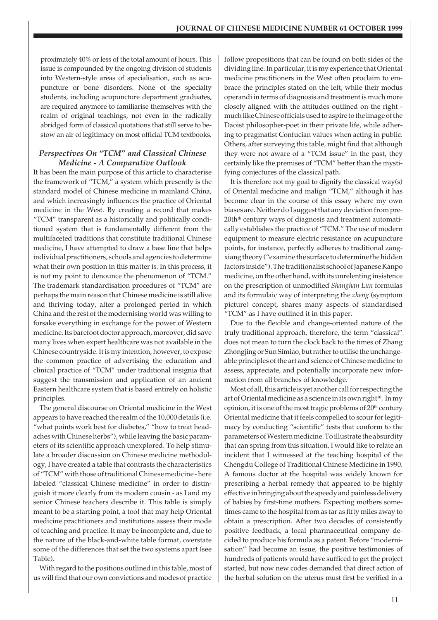proximately 40% or less of the total amount of hours. This issue is compounded by the ongoing division of students into Western-style areas of specialisation, such as acupuncture or bone disorders. None of the specialty students, including acupuncture department graduates, are required anymore to familiarise themselves with the realm of original teachings, not even in the radically abridged form of classical quotations that still serve to bestow an air of legitimacy on most official TCM textbooks.

### *Perspectives On "TCM" and Classical Chinese Medicine - A Comparative Outlook*

It has been the main purpose of this article to characterise the framework of "TCM," a system which presently is the standard model of Chinese medicine in mainland China, and which increasingly influences the practice of Oriental medicine in the West. By creating a record that makes "TCM" transparent as a historically and politically conditioned system that is fundamentally different from the multifaceted traditions that constitute traditional Chinese medicine, I have attempted to draw a base line that helps individual practitioners, schools and agencies to determine what their own position in this matter is. In this process, it is not my point to denounce the phenomenon of "TCM." The trademark standardisation procedures of "TCM" are perhaps the main reason that Chinese medicine is still alive and thriving today, after a prolonged period in which China and the rest of the modernising world was willing to forsake everything in exchange for the power of Western medicine. Its barefoot doctor approach, moreover, did save many lives when expert healthcare was not available in the Chinese countryside. It is my intention, however, to expose the common practice of advertising the education and clinical practice of "TCM" under traditional insignia that suggest the transmission and application of an ancient Eastern healthcare system that is based entirely on holistic principles.

The general discourse on Oriental medicine in the West appears to have reached the realm of the 10,000 details (i.e. "what points work best for diabetes," "how to treat headaches with Chinese herbs"), while leaving the basic parameters of its scientific approach unexplored. To help stimulate a broader discussion on Chinese medicine methodology, I have created a table that contrasts the characteristics of "TCM" with those of traditional Chinese medicine - here labeled "classical Chinese medicine" in order to distinguish it more clearly from its modern cousin - as I and my senior Chinese teachers describe it. This table is simply meant to be a starting point, a tool that may help Oriental medicine practitioners and institutions assess their mode of teaching and practice. It may be incomplete and, due to the nature of the black-and-white table format, overstate some of the differences that set the two systems apart (see Table).

With regard to the positions outlined in this table, most of us will find that our own convictions and modes of practice

follow propositions that can be found on both sides of the dividing line. In particular, it is my experience that Oriental medicine practitioners in the West often proclaim to embrace the principles stated on the left, while their modus operandi in terms of diagnosis and treatment is much more closely aligned with the attitudes outlined on the right much like Chinese officials used to aspire to the image of the Daoist philosopher-poet in their private life, while adhering to pragmatist Confucian values when acting in public. Others, after surveying this table, might find that although they were not aware of a "TCM issue" in the past, they certainly like the premises of "TCM" better than the mystifying conjectures of the classical path.

It is therefore not my goal to dignify the classical way(s) of Oriental medicine and malign "TCM," although it has become clear in the course of this essay where my own biases are. Neither do I suggest that any deviation from pre-20th<sup>th</sup> century ways of diagnosis and treatment automatically establishes the practice of "TCM." The use of modern equipment to measure electric resistance on acupuncture points, for instance, perfectly adheres to traditional zangxiang theory ("examine the surface to determine the hidden factors inside"). The traditionalist school of Japanese Kanpo medicine, on the other hand, with its unrelenting insistence on the prescription of unmodified *Shanghan Lun* formulas and its formulaic way of interpreting the *zheng* (symptom picture) concept, shares many aspects of standardised "TCM" as I have outlined it in this paper.

Due to the flexible and change-oriented nature of the truly traditional approach, therefore, the term "classical" does not mean to turn the clock back to the times of Zhang Zhongjing or Sun Simiao, but rather to utilise the unchangeable principles of the art and science of Chinese medicine to assess, appreciate, and potentially incorporate new information from all branches of knowledge.

Most of all, this article is yet another call for respecting the art of Oriental medicine as a science in its own right<sup>10</sup>. In my opinion, it is one of the most tragic problems of  $20<sup>th</sup>$  century Oriental medicine that it feels compelled to scour for legitimacy by conducting "scientific" tests that conform to the parameters of Western medicine. To illustrate the absurdity that can spring from this situation, I would like to relate an incident that I witnessed at the teaching hospital of the Chengdu College of Traditional Chinese Medicine in 1990. A famous doctor at the hospital was widely known for prescribing a herbal remedy that appeared to be highly effective in bringing about the speedy and painless delivery of babies by first-time mothers. Expecting mothers sometimes came to the hospital from as far as fifty miles away to obtain a prescription. After two decades of consistently positive feedback, a local pharmaceutical company decided to produce his formula as a patent. Before "modernisation" had become an issue, the positive testimonies of hundreds of patients would have sufficed to get the project started, but now new codes demanded that direct action of the herbal solution on the uterus must first be verified in a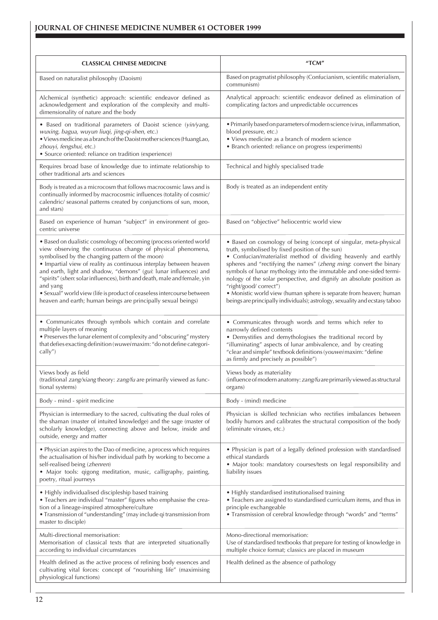| <b>CLASSICAL CHINESE MEDICINE</b>                                                                                                                                                                                                                                                                                                                                                                                                                                                                                                                                   | "TCM"                                                                                                                                                                                                                                                                                                                                                                                                                                                                                                                                                                                     |
|---------------------------------------------------------------------------------------------------------------------------------------------------------------------------------------------------------------------------------------------------------------------------------------------------------------------------------------------------------------------------------------------------------------------------------------------------------------------------------------------------------------------------------------------------------------------|-------------------------------------------------------------------------------------------------------------------------------------------------------------------------------------------------------------------------------------------------------------------------------------------------------------------------------------------------------------------------------------------------------------------------------------------------------------------------------------------------------------------------------------------------------------------------------------------|
| Based on naturalist philosophy (Daoism)                                                                                                                                                                                                                                                                                                                                                                                                                                                                                                                             | Based on pragmatist philosophy (Confucianism, scientific materialism,<br>communism)                                                                                                                                                                                                                                                                                                                                                                                                                                                                                                       |
| Alchemical (synthetic) approach: scientific endeavor defined as<br>acknowledgement and exploration of the complexity and multi-<br>dimensionality of nature and the body                                                                                                                                                                                                                                                                                                                                                                                            | Analytical approach: scientific endeavor defined as elimination of<br>complicating factors and unpredictable occurrences                                                                                                                                                                                                                                                                                                                                                                                                                                                                  |
| · Based on traditional parameters of Daoist science (yin/yang,<br>wuxing, bagua, wuyun liuqi, jing-qi-shen, etc.)<br>· Views medicine as a branch of the Daoist mother sciences (HuangLao,<br>zhouyi, fengshui, etc.)<br>· Source oriented: reliance on tradition (experience)                                                                                                                                                                                                                                                                                      | . Primarily based on parameters of modern science (virus, inflammation,<br>blood pressure, etc.)<br>• Views medicine as a branch of modern science<br>• Branch oriented: reliance on progress (experiments)                                                                                                                                                                                                                                                                                                                                                                               |
| Requires broad base of knowledge due to intimate relationship to<br>other traditional arts and sciences                                                                                                                                                                                                                                                                                                                                                                                                                                                             | Technical and highly specialised trade                                                                                                                                                                                                                                                                                                                                                                                                                                                                                                                                                    |
| Body is treated as a microcosm that follows macrocosmic laws and is<br>continually informed by macrocosmic influences (totality of cosmic/<br>calendric/ seasonal patterns created by conjunctions of sun, moon,<br>and stars)                                                                                                                                                                                                                                                                                                                                      | Body is treated as an independent entity                                                                                                                                                                                                                                                                                                                                                                                                                                                                                                                                                  |
| Based on experience of human "subject" in environment of geo-<br>centric universe                                                                                                                                                                                                                                                                                                                                                                                                                                                                                   | Based on "objective" heliocentric world view                                                                                                                                                                                                                                                                                                                                                                                                                                                                                                                                              |
| · Based on dualistic cosmology of becoming (process oriented world<br>view observing the continuous change of physical phenomena,<br>symbolised by the changing pattern of the moon)<br>• Impartial view of reality as continuous interplay between heaven<br>and earth, light and shadow, "demons" (gui: lunar influences) and<br>"spirits" (shen: solar influences), birth and death, male and female, yin<br>and yang<br>· Sexual" world view (life is product of ceaseless intercourse between<br>heaven and earth; human beings are principally sexual beings) | • Based on cosmology of being (concept of singular, meta-physical<br>truth, symbolised by fixed position of the sun)<br>• Confucian/materialist method of dividing heavenly and earthly<br>spheres and "rectifying the names" (zheng ming: convert the binary<br>symbols of lunar mythology into the immutable and one-sided termi-<br>nology of the solar perspective, and dignify an absolute position as<br>"right/good/correct")<br>· Monistic world view (human sphere is separate from heaven; human<br>beings are principally individuals); astrology, sexuality and ecstasy taboo |
| • Communicates through symbols which contain and correlate<br>multiple layers of meaning<br>• Preserves the lunar element of complexity and "obscuring" mystery<br>that defies exacting definition (wuwei maxim: "do not define categori-<br>cally")                                                                                                                                                                                                                                                                                                                | • Communicates through words and terms which refer to<br>narrowly defined contents<br>• Demystifies and demythologises the traditional record by<br>"illuminating" aspects of lunar ambivalence, and by creating<br>"clear and simple" textbook definitions (youwei maxim: "define<br>as firmly and precisely as possible")                                                                                                                                                                                                                                                               |
| Views body as field<br>(traditional zang/xiang theory: zang/fu are primarily viewed as func-<br>tional systems)                                                                                                                                                                                                                                                                                                                                                                                                                                                     | Views body as materiality<br>(influence of modern anatomy: zang/fu are primarily viewed as structural<br>organs)                                                                                                                                                                                                                                                                                                                                                                                                                                                                          |
| Body - mind - spirit medicine                                                                                                                                                                                                                                                                                                                                                                                                                                                                                                                                       | Body - (mind) medicine                                                                                                                                                                                                                                                                                                                                                                                                                                                                                                                                                                    |
| Physician is intermediary to the sacred, cultivating the dual roles of<br>the shaman (master of intuited knowledge) and the sage (master of<br>scholarly knowledge), connecting above and below, inside and<br>outside, energy and matter                                                                                                                                                                                                                                                                                                                           | Physician is skilled technician who rectifies imbalances between<br>bodily humors and calibrates the structural composition of the body<br>(eliminate viruses, etc.)                                                                                                                                                                                                                                                                                                                                                                                                                      |
| • Physician aspires to the Dao of medicine, a process which requires<br>the actualisation of his/her individual path by working to become a<br>self-realised being (zhenren)<br>· Major tools: qigong meditation, music, calligraphy, painting,<br>poetry, ritual journeys                                                                                                                                                                                                                                                                                          | • Physician is part of a legally defined profession with standardised<br>ethical standards<br>· Major tools: mandatory courses/tests on legal responsibility and<br>liability issues                                                                                                                                                                                                                                                                                                                                                                                                      |
| • Highly individualised discipleship based training<br>• Teachers are individual "master" figures who emphasise the crea-<br>tion of a lineage-inspired atmosphere/culture<br>• Transmission of "understanding" (may include qi transmission from<br>master to disciple)                                                                                                                                                                                                                                                                                            | • Highly standardised institutionalised training<br>• Teachers are assigned to standardised curriculum items, and thus in<br>principle exchangeable<br>• Transmission of cerebral knowledge through "words" and "terms"                                                                                                                                                                                                                                                                                                                                                                   |
| Multi-directional memorisation:<br>Memorisation of classical texts that are interpreted situationally<br>according to individual circumstances                                                                                                                                                                                                                                                                                                                                                                                                                      | Mono-directional memorisation:<br>Use of standardised textbooks that prepare for testing of knowledge in<br>multiple choice format; classics are placed in museum                                                                                                                                                                                                                                                                                                                                                                                                                         |
| Health defined as the active process of refining body essences and<br>cultivating vital forces: concept of "nourishing life" (maximising<br>physiological functions)                                                                                                                                                                                                                                                                                                                                                                                                | Health defined as the absence of pathology                                                                                                                                                                                                                                                                                                                                                                                                                                                                                                                                                |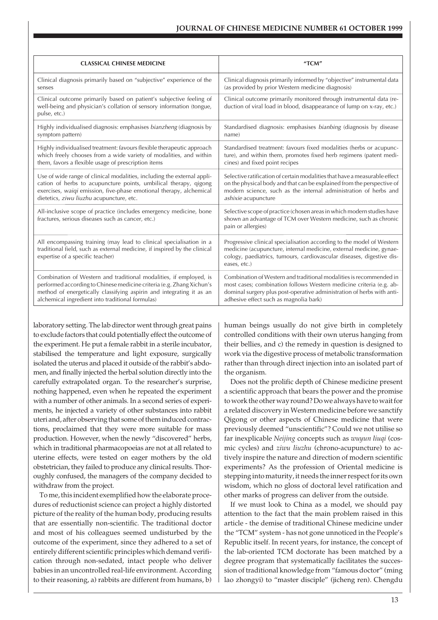## **JOURNAL OF CHINESE MEDICINE NUMBER 61 OCTOBER 1999**

| <b>CLASSICAL CHINESE MEDICINE</b>                                                                                                                                                    | "TCM"                                                                                                                                                                                                                                 |
|--------------------------------------------------------------------------------------------------------------------------------------------------------------------------------------|---------------------------------------------------------------------------------------------------------------------------------------------------------------------------------------------------------------------------------------|
|                                                                                                                                                                                      |                                                                                                                                                                                                                                       |
| Clinical diagnosis primarily based on "subjective" experience of the                                                                                                                 | Clinical diagnosis primarily informed by "objective" instrumental data                                                                                                                                                                |
| senses                                                                                                                                                                               | (as provided by prior Western medicine diagnosis)                                                                                                                                                                                     |
| Clinical outcome primarily based on patient's subjective feeling of<br>well-being and physician's collation of sensory information (tongue,<br>pulse, etc.)                          | Clinical outcome primarily monitored through instrumental data (re-<br>duction of viral load in blood, disappearance of lump on x-ray, etc.)                                                                                          |
| Highly individualised diagnosis: emphasises bianzheng (diagnosis by                                                                                                                  | Standardised diagnosis: emphasises bianbing (diagnosis by disease                                                                                                                                                                     |
| symptom pattern)                                                                                                                                                                     | name)                                                                                                                                                                                                                                 |
| Highly individualised treatment: favours flexible therapeutic approach                                                                                                               | Standardised treatment: favours fixed modalities (herbs or acupunc-                                                                                                                                                                   |
| which freely chooses from a wide variety of modalities, and within                                                                                                                   | ture), and within them, promotes fixed herb regimens (patent medi-                                                                                                                                                                    |
| them, favors a flexible usage of prescription items                                                                                                                                  | cines) and fixed point recipes                                                                                                                                                                                                        |
| Use of wide range of clinical modalities, including the external appli-                                                                                                              | Selective ratification of certain modalities that have a measurable effect                                                                                                                                                            |
| cation of herbs to acupuncture points, umbilical therapy, qigong                                                                                                                     | on the physical body and that can be explained from the perspective of                                                                                                                                                                |
| exercises, waiqi emission, five-phase emotional therapy, alchemical                                                                                                                  | modern science, such as the internal administration of herbs and                                                                                                                                                                      |
| dietetics, ziwu liuzhu acupuncture, etc.                                                                                                                                             | ashixie acupuncture                                                                                                                                                                                                                   |
| All-inclusive scope of practice (includes emergency medicine, bone<br>fractures, serious diseases such as cancer, etc.)                                                              | Selective scope of practice (chosen areas in which modern studies have<br>shown an advantage of TCM over Western medicine, such as chronic<br>pain or allergies)                                                                      |
| All encompassing training (may lead to clinical specialisation in a<br>traditional field, such as external medicine, if inspired by the clinical<br>expertise of a specific teacher) | Progressive clinical specialisation according to the model of Western<br>medicine (acupuncture, internal medicine, external medicine, gynae-<br>cology, paediatrics, tumours, cardiovascular diseases, digestive dis-<br>eases, etc.) |
| Combination of Western and traditional modalities, if employed, is                                                                                                                   | Combination of Western and traditional modalities is recommended in                                                                                                                                                                   |
| performed according to Chinese medicine criteria (e.g. Zhang Xichun's                                                                                                                | most cases; combination follows Western medicine criteria (e.g. ab-                                                                                                                                                                   |
| method of energetically classifying aspirin and integrating it as an                                                                                                                 | dominal surgery plus post-operative administration of herbs with anti-                                                                                                                                                                |
| alchemical ingredient into traditional formulas)                                                                                                                                     | adhesive effect such as magnolia bark)                                                                                                                                                                                                |

laboratory setting. The lab director went through great pains to exclude factors that could potentially effect the outcome of the experiment. He put a female rabbit in a sterile incubator, stabilised the temperature and light exposure, surgically isolated the uterus and placed it outside of the rabbit's abdomen, and finally injected the herbal solution directly into the carefully extrapolated organ. To the researcher's surprise, nothing happened, even when he repeated the experiment with a number of other animals. In a second series of experiments, he injected a variety of other substances into rabbit uteri and, after observing that some of them induced contractions, proclaimed that they were more suitable for mass production. However, when the newly "discovered" herbs, which in traditional pharmacopoeias are not at all related to uterine effects, were tested on eager mothers by the old obstetrician, they failed to produce any clinical results. Thoroughly confused, the managers of the company decided to withdraw from the project.

To me, this incident exemplified how the elaborate procedures of reductionist science can project a highly distorted picture of the reality of the human body, producing results that are essentially non-scientific. The traditional doctor and most of his colleagues seemed undisturbed by the outcome of the experiment, since they adhered to a set of entirely different scientific principles which demand verification through non-sedated, intact people who deliver babies in an uncontrolled real-life environment. According to their reasoning, a) rabbits are different from humans, b)

human beings usually do not give birth in completely controlled conditions with their own uterus hanging from their bellies, and c) the remedy in question is designed to work via the digestive process of metabolic transformation rather than through direct injection into an isolated part of the organism.

Does not the prolific depth of Chinese medicine present a scientific approach that bears the power and the promise to work the other way round? Do we always have to wait for a related discovery in Western medicine before we sanctify Qigong or other aspects of Chinese medicine that were previously deemed "unscientific"? Could we not utilise so far inexplicable *Neijing* concepts such as *wuyun liuqi* (cosmic cycles) and *ziwu liuzhu* (chrono-acupuncture) to actively inspire the nature and direction of modern scientific experiments? As the profession of Oriental medicine is stepping into maturity, it needs the inner respect for its own wisdom, which no gloss of doctoral level ratification and other marks of progress can deliver from the outside.

If we must look to China as a model, we should pay attention to the fact that the main problem raised in this article - the demise of traditional Chinese medicine under the "TCM" system - has not gone unnoticed in the People's Republic itself. In recent years, for instance, the concept of the lab-oriented TCM doctorate has been matched by a degree program that systematically facilitates the succession of traditional knowledge from "famous doctor" (ming lao zhongyi) to "master disciple" (jicheng ren). Chengdu